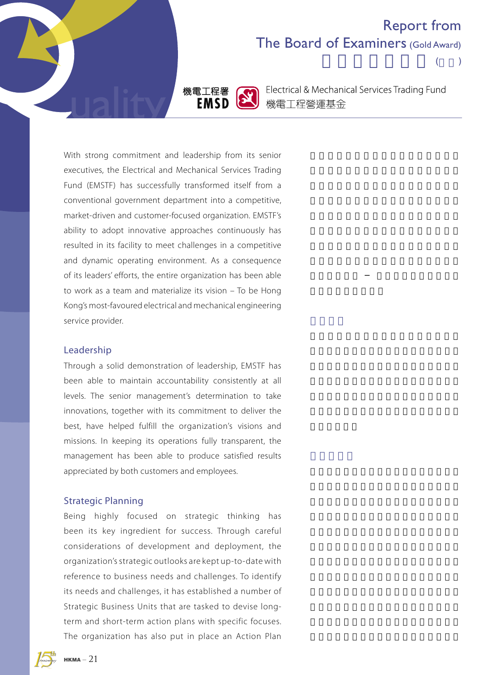# Report from The Board of Examiners (Gold Award)

 $($ 



Electrical & Mechanical Services Trading Fund 機電工程營運基金

With strong commitment and leadership from its senior executives, the Electrical and Mechanical Services Trading Fund (EMSTF) has successfully transformed itself from a conventional government department into a competitive, market-driven and customer-focused organization. EMSTF's ability to adopt innovative approaches continuously has resulted in its facility to meet challenges in a competitive and dynamic operating environment. As a consequence of its leaders' efforts, the entire organization has been able to work as a team and materialize its vision – To be Hong Kong's most-favoured electrical and mechanical engineering service provider.

### Leadership

Through a solid demonstration of leadership, EMSTF has been able to maintain accountability consistently at all levels. The senior management's determination to take innovations, together with its commitment to deliver the best, have helped fulfill the organization's visions and missions. In keeping its operations fully transparent, the management has been able to produce satisfied results appreciated by both customers and employees.

## Strategic Planning

Being highly focused on strategic thinking has been its key ingredient for success. Through careful considerations of development and deployment, the organization's strategic outlooks are kept up-to-date with reference to business needs and challenges. To identify its needs and challenges, it has established a number of Strategic Business Units that are tasked to devise longterm and short-term action plans with specific focuses. The organization has also put in place an Action Plan

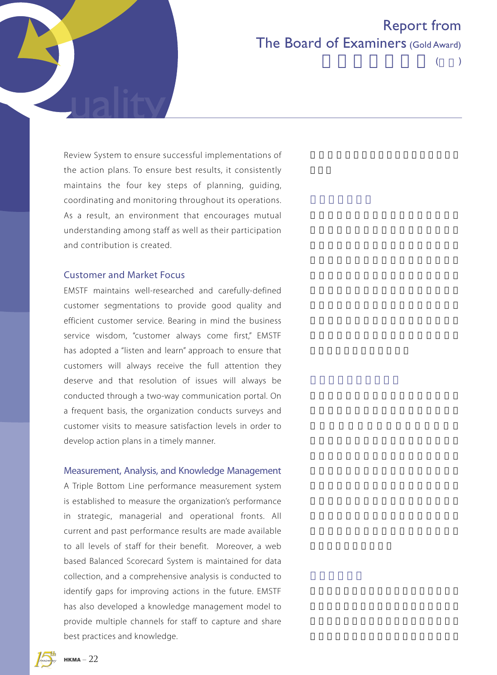

 $($ 

Review System to ensure successful implementations of the action plans. To ensure best results, it consistently maintains the four key steps of planning, guiding, coordinating and monitoring throughout its operations. As a result, an environment that encourages mutual understanding among staff as well as their participation and contribution is created.

## Customer and Market Focus

EMSTF maintains well-researched and carefully-defined customer segmentations to provide good quality and efficient customer service. Bearing in mind the business service wisdom, "customer always come first," EMSTF has adopted a "listen and learn" approach to ensure that customers will always receive the full attention they deserve and that resolution of issues will always be conducted through a two-way communication portal. On a frequent basis, the organization conducts surveys and customer visits to measure satisfaction levels in order to develop action plans in a timely manner.

#### Measurement, Analysis, and Knowledge Management

A Triple Bottom Line performance measurement system is established to measure the organization's performance in strategic, managerial and operational fronts. All current and past performance results are made available to all levels of staff for their benefit. Moreover, a web based Balanced Scorecard System is maintained for data collection, and a comprehensive analysis is conducted to identify gaps for improving actions in the future. EMSTF has also developed a knowledge management model to provide multiple channels for staff to capture and share best practices and knowledge.

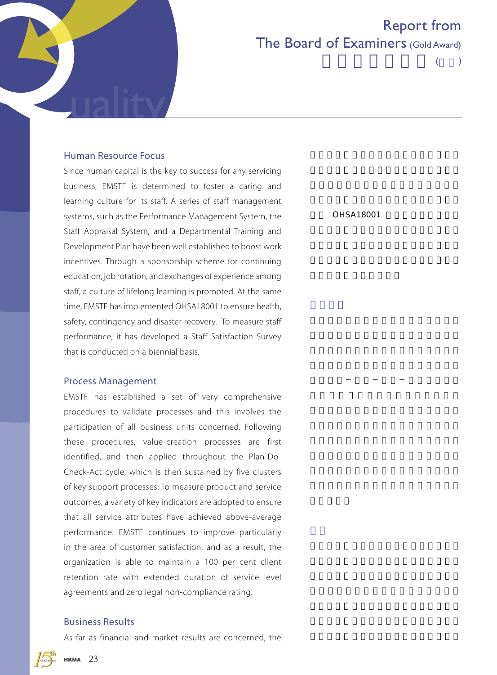

# Report from The Board of Examiners (Gold Award)

 $($ 

## Human Resource Focus

Since human capital is the key to success for any servicing business, EMSTF is determined to foster a caring and learning culture for its staff. A series of staff management systems, such as the Performance Management System, the Staff Appraisal System, and a Departmental Training and Development Plan have been well established to boost work incentives. Through a sponsorship scheme for continuing education, job rotation, and exchanges of experience among staff, a culture of lifelong learning is promoted. At the same time, EMSTF has implemented OHSA18001 to ensure health, safety, contingency and disaster recovery. To measure staff performance, it has developed a Staff Satisfaction Survey that is conducted on a biennial basis.

### Process Management

EMSTF has established a set of very comprehensive procedures to validate processes and this involves the participation of all business units concerned. Following these procedures, value-creation processes are first identified, and then applied throughout the Plan-Do-Check-Act cycle, which is then sustained by five clusters of key support processes. To measure product and service outcomes, a variety of key indicators are adopted to ensure that all service attributes have achieved above-average performance. EMSTF continues to improve particularly in the area of customer satisfaction, and as a result, the organization is able to maintain a 100 per cent client retention rate with extended duration of service level agreements and zero legal non-compliance rating.

## Business Results

As far as financial and market results are concerned, the

 $OHSA18001$